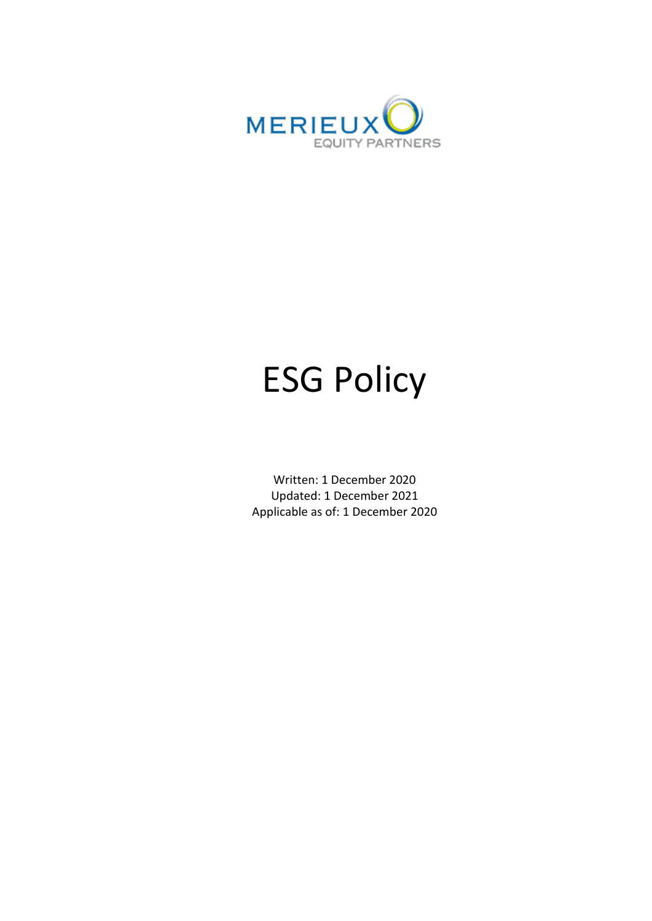

# ESG Policy

Written: 1 December 2020 Updated: 1 December 2021 Applicable as of: 1 December 2020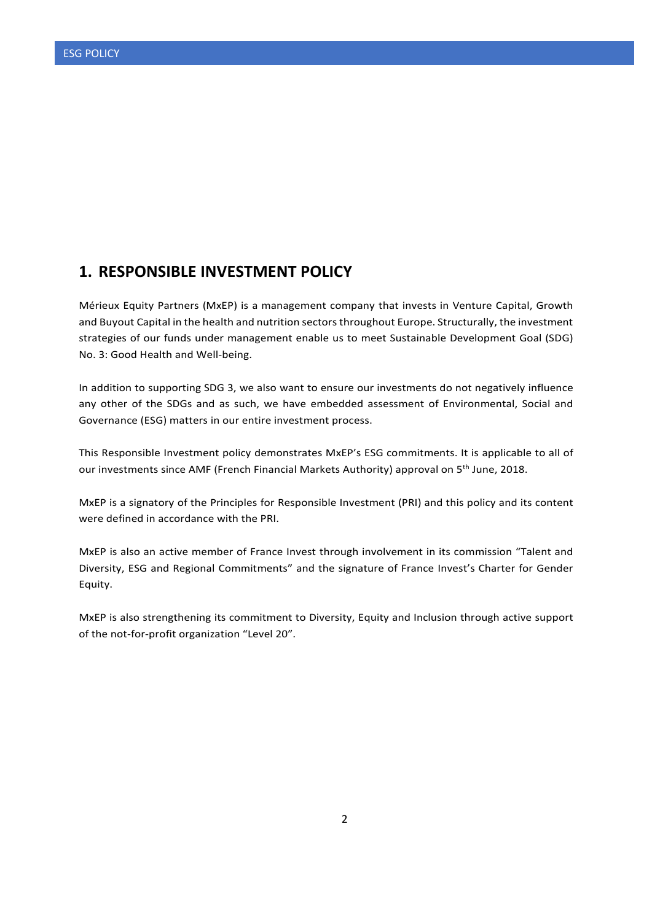### **1. RESPONSIBLE INVESTMENT POLICY**

Mérieux Equity Partners (MxEP) is a management company that invests in Venture Capital, Growth and Buyout Capital in the health and nutrition sectors throughout Europe. Structurally, the investment strategies of our funds under management enable us to meet Sustainable Development Goal (SDG) No. 3: Good Health and Well-being.

In addition to supporting SDG 3, we also want to ensure our investments do not negatively influence any other of the SDGs and as such, we have embedded assessment of Environmental, Social and Governance (ESG) matters in our entire investment process.

This Responsible Investment policy demonstrates MxEP's ESG commitments. It is applicable to all of our investments since AMF (French Financial Markets Authority) approval on 5<sup>th</sup> June, 2018.

MxEP is a signatory of the Principles for Responsible Investment (PRI) and this policy and its content were defined in accordance with the PRI.

MxEP is also an active member of France Invest through involvement in its commission "Talent and Diversity, ESG and Regional Commitments" and the signature of France Invest's Charter for Gender Equity.

MxEP is also strengthening its commitment to Diversity, Equity and Inclusion through active support of the not-for-profit organization "Level 20".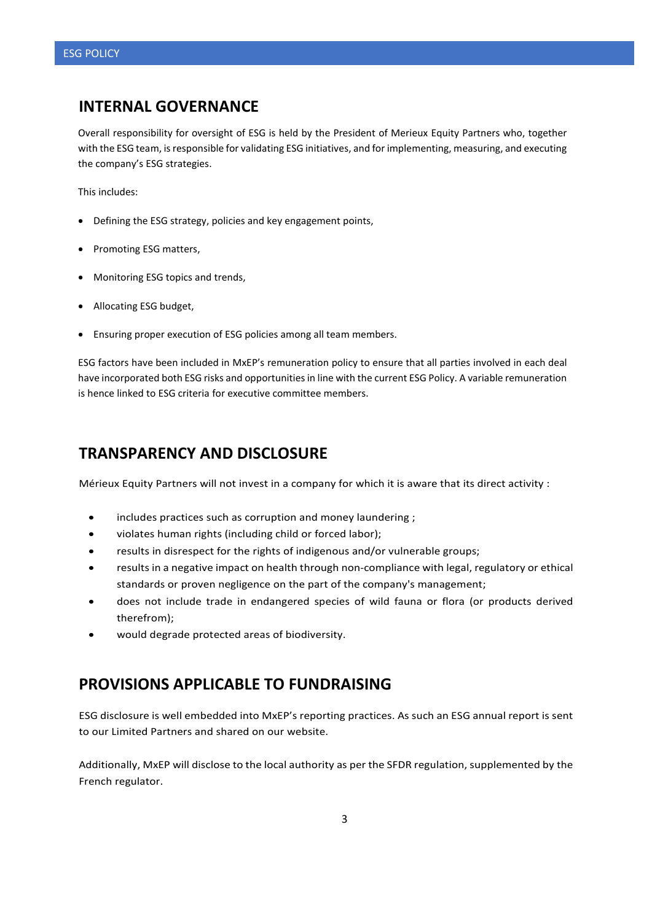## **INTERNAL GOVERNANCE**

Overall responsibility for oversight of ESG is held by the President of Merieux Equity Partners who, together with the ESG team, is responsible for validating ESG initiatives, and for implementing, measuring, and executing the company's ESG strategies.

This includes:

- Defining the ESG strategy, policies and key engagement points,
- Promoting ESG matters,
- Monitoring ESG topics and trends,
- Allocating ESG budget,
- Ensuring proper execution of ESG policies among all team members.

ESG factors have been included in MxEP's remuneration policy to ensure that all parties involved in each deal have incorporated both ESG risks and opportunities in line with the current ESG Policy. A variable remuneration is hence linked to ESG criteria for executive committee members.

## **TRANSPARENCY AND DISCLOSURE**

Mérieux Equity Partners will not invest in a company for which it is aware that its direct activity :

- includes practices such as corruption and money laundering;
- violates human rights (including child or forced labor);
- results in disrespect for the rights of indigenous and/or vulnerable groups;
- results in a negative impact on health through non-compliance with legal, regulatory or ethical standards or proven negligence on the part of the company's management;
- does not include trade in endangered species of wild fauna or flora (or products derived therefrom);
- would degrade protected areas of biodiversity.

## **PROVISIONS APPLICABLE TO FUNDRAISING**

ESG disclosure is well embedded into MxEP's reporting practices. As such an ESG annual report is sent to our Limited Partners and shared on our website.

Additionally, MxEP will disclose to the local authority as per the SFDR regulation, supplemented by the French regulator.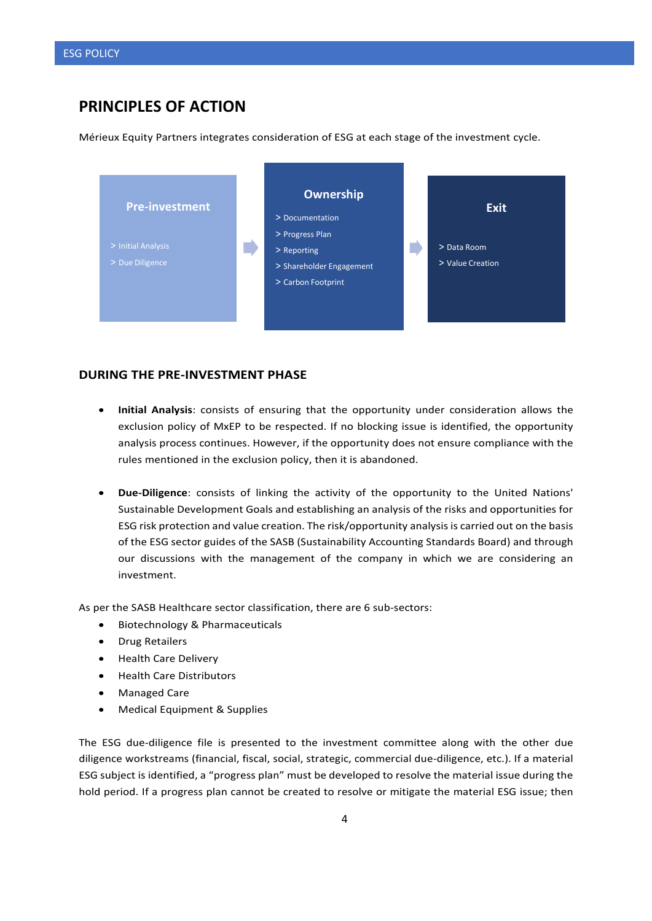## **PRINCIPLES OF ACTION**

Mérieux Equity Partners integrates consideration of ESG at each stage of the investment cycle.



#### **DURING THE PRE-INVESTMENT PHASE**

- **Initial Analysis**: consists of ensuring that the opportunity under consideration allows the exclusion policy of MxEP to be respected. If no blocking issue is identified, the opportunity analysis process continues. However, if the opportunity does not ensure compliance with the rules mentioned in the exclusion policy, then it is abandoned.
- **Due-Diligence**: consists of linking the activity of the opportunity to the United Nations' Sustainable Development Goals and establishing an analysis of the risks and opportunities for ESG risk protection and value creation. The risk/opportunity analysis is carried out on the basis of the ESG sector guides of the SASB (Sustainability Accounting Standards Board) and through our discussions with the management of the company in which we are considering an investment.

As per the SASB Healthcare sector classification, there are 6 sub-sectors:

- Biotechnology & Pharmaceuticals
- Drug Retailers
- Health Care Delivery
- Health Care Distributors
- Managed Care
- Medical Equipment & Supplies

The ESG due-diligence file is presented to the investment committee along with the other due diligence workstreams (financial, fiscal, social, strategic, commercial due-diligence, etc.). If a material ESG subject is identified, a "progress plan" must be developed to resolve the material issue during the hold period. If a progress plan cannot be created to resolve or mitigate the material ESG issue; then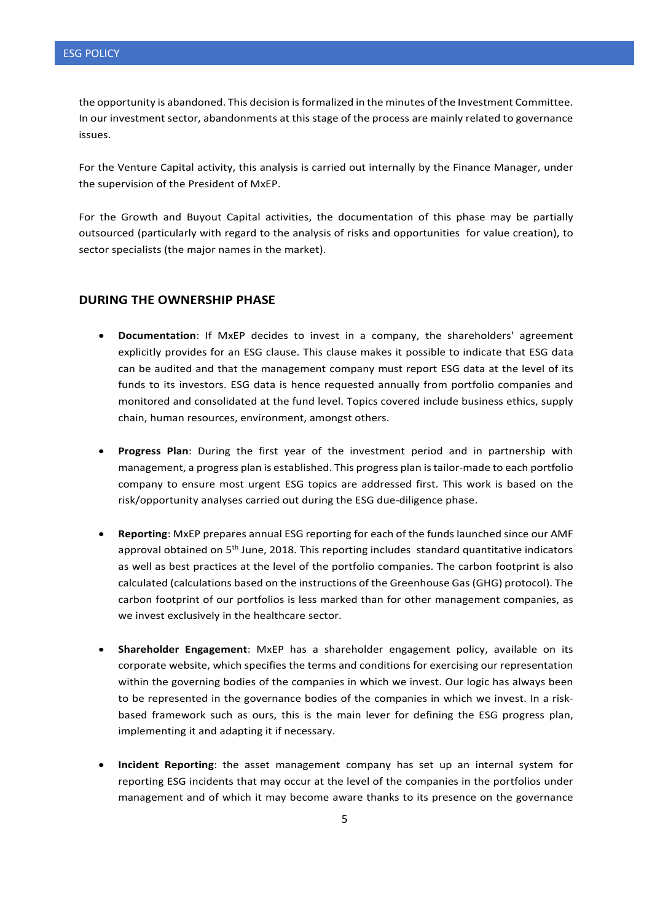the opportunity is abandoned. This decision is formalized in the minutes of the Investment Committee. In our investment sector, abandonments at this stage of the process are mainly related to governance issues.

For the Venture Capital activity, this analysis is carried out internally by the Finance Manager, under the supervision of the President of MxEP.

For the Growth and Buyout Capital activities, the documentation of this phase may be partially outsourced (particularly with regard to the analysis of risks and opportunities for value creation), to sector specialists (the major names in the market).

#### **DURING THE OWNERSHIP PHASE**

- **Documentation**: If MxEP decides to invest in a company, the shareholders' agreement explicitly provides for an ESG clause. This clause makes it possible to indicate that ESG data can be audited and that the management company must report ESG data at the level of its funds to its investors. ESG data is hence requested annually from portfolio companies and monitored and consolidated at the fund level. Topics covered include business ethics, supply chain, human resources, environment, amongst others.
- **Progress Plan**: During the first year of the investment period and in partnership with management, a progress plan is established. This progress plan is tailor-made to each portfolio company to ensure most urgent ESG topics are addressed first. This work is based on the risk/opportunity analyses carried out during the ESG due-diligence phase.
- **Reporting**: MxEP prepares annual ESG reporting for each of the funds launched since our AMF approval obtained on 5<sup>th</sup> June, 2018. This reporting includes standard quantitative indicators as well as best practices at the level of the portfolio companies. The carbon footprint is also calculated (calculations based on the instructions of the Greenhouse Gas (GHG) protocol). The carbon footprint of our portfolios is less marked than for other management companies, as we invest exclusively in the healthcare sector.
- **Shareholder Engagement**: MxEP has a shareholder engagement policy, available on its corporate website, which specifies the terms and conditions for exercising our representation within the governing bodies of the companies in which we invest. Our logic has always been to be represented in the governance bodies of the companies in which we invest. In a riskbased framework such as ours, this is the main lever for defining the ESG progress plan, implementing it and adapting it if necessary.
- **Incident Reporting**: the asset management company has set up an internal system for reporting ESG incidents that may occur at the level of the companies in the portfolios under management and of which it may become aware thanks to its presence on the governance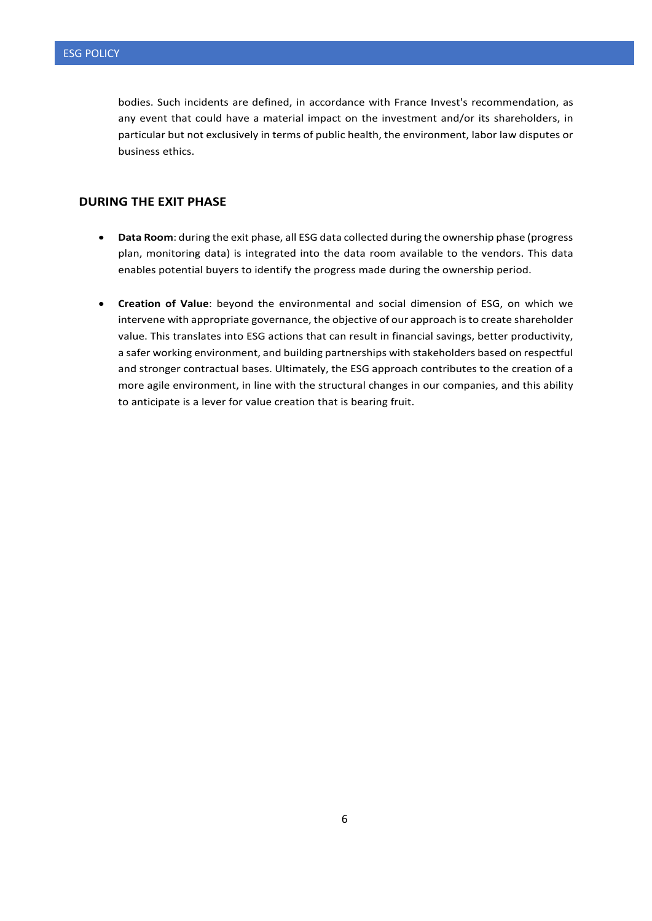bodies. Such incidents are defined, in accordance with France Invest's recommendation, as any event that could have a material impact on the investment and/or its shareholders, in particular but not exclusively in terms of public health, the environment, labor law disputes or business ethics.

#### **DURING THE EXIT PHASE**

- **Data Room**: during the exit phase, all ESG data collected during the ownership phase (progress plan, monitoring data) is integrated into the data room available to the vendors. This data enables potential buyers to identify the progress made during the ownership period.
- **Creation of Value**: beyond the environmental and social dimension of ESG, on which we intervene with appropriate governance, the objective of our approach is to create shareholder value. This translates into ESG actions that can result in financial savings, better productivity, a safer working environment, and building partnerships with stakeholders based on respectful and stronger contractual bases. Ultimately, the ESG approach contributes to the creation of a more agile environment, in line with the structural changes in our companies, and this ability to anticipate is a lever for value creation that is bearing fruit.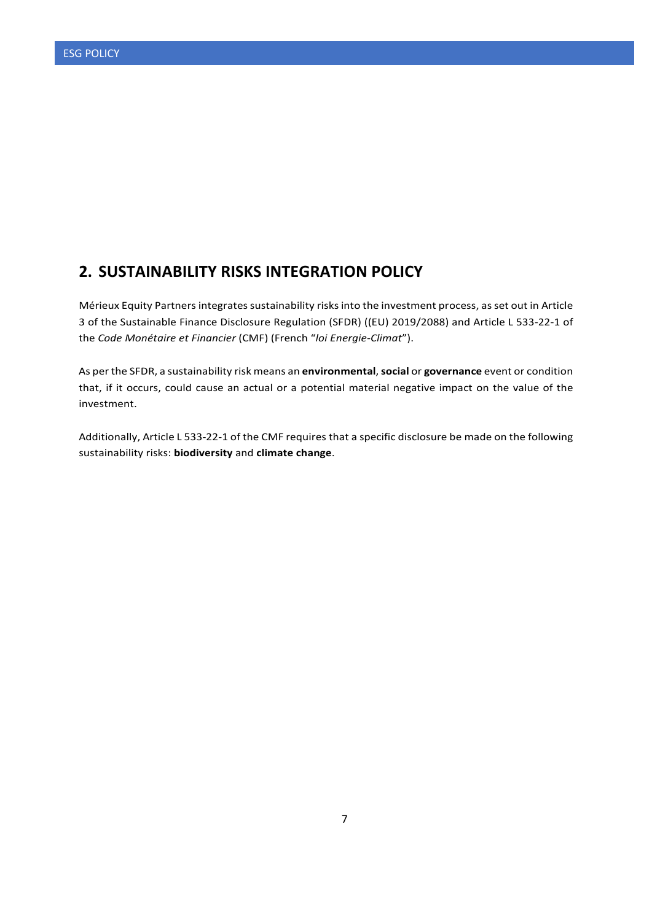## **2. SUSTAINABILITY RISKS INTEGRATION POLICY**

Mérieux Equity Partners integrates sustainability risks into the investment process, as set out in Article 3 of the Sustainable Finance Disclosure Regulation (SFDR) ((EU) 2019/2088) and Article L 533-22-1 of the *Code Monétaire et Financier* (CMF) (French "*loi Energie-Climat*").

As per the SFDR, a sustainability risk means an **environmental**, **social** or **governance** event or condition that, if it occurs, could cause an actual or a potential material negative impact on the value of the investment.

Additionally, Article L 533-22-1 of the CMF requires that a specific disclosure be made on the following sustainability risks: **biodiversity** and **climate change**.